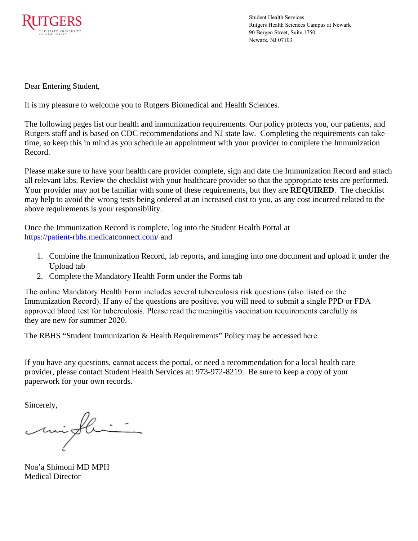

Student Health Services Rutgers Health Sciences Campus at Newark 90 Bergen Street, Suite 1750 Newark, NJ 07103

Dear Entering Student,

It is my pleasure to welcome you to Rutgers Biomedical and Health Sciences.

The following pages list our health and immunization requirements. Our policy protects you, our patients, and Rutgers staff and is based on CDC recommendations and NJ state law. Completing the requirements can take time, so keep this in mind as you schedule an appointment with your provider to complete the Immunization Record.

Please make sure to have your health care provider complete, sign and date the Immunization Record and attach all relevant labs. Review the checklist with your healthcare provider so that the appropriate tests are performed. Your provider may not be familiar with some of these requirements, but they are **REQUIRED**. The checklist may help to avoid the wrong tests being ordered at an increased cost to you, as any cost incurred related to the above requirements is your responsibility.

Once the Immunization Record is complete, log into the Student Health Portal a[t](https://patient-rbhs.medicatconnect.com/)  [https://patient-rbhs.medica](https://patient-rbhs.medicatconnect.com/)tconnect.com/ and

- 1. Combine the Immunization Record, lab reports, and imaging into one document and upload it under the Upload tab
- 2. Complete the Mandatory Health Form under the Forms tab

The online Mandatory Health Form includes several tuberculosis risk questions (also listed on the Immunization Record). If any of the questions are positive, you will need to submit a single PPD or FDA approved blood test for tuberculosis. Please read the meningitis vaccination requirements carefully as they are new for summer 2020.

[The RBHS "Student Immunization & Health Requirements" Policy may](https://policies.rutgers.edu/file/3129/download?token=RgpyIjFa) be accessed here.

If you have any questions, cannot access the portal, or need a recommendation for a local health care provider, please contact Student Health Services at: 973-972-8219. Be sure to keep a copy of your paperwork for your own records.

Sincerely,

Noa'a Shimoni MD MPH Medical Director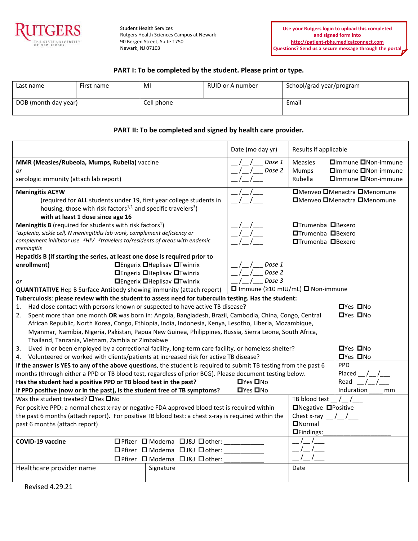

Student Health Services Rutgers Health Sciences Campus at Newark 90 Bergen Street, Suite 1750 Newark, NJ 07103

### **PART I: To be completed by the student. Please print or type.**

| Last name            | First name | MI         | RUID or A number | School/grad year/program |  |
|----------------------|------------|------------|------------------|--------------------------|--|
| DOB (month day year) |            | Cell phone |                  | Email                    |  |

#### **PART II: To be completed and signed by health care provider.**

|                                                                                                                  |                                    | Date (mo day yr)                                                    | Results if applicable              |                                           |                                     |  |
|------------------------------------------------------------------------------------------------------------------|------------------------------------|---------------------------------------------------------------------|------------------------------------|-------------------------------------------|-------------------------------------|--|
| MMR (Measles/Rubeola, Mumps, Rubella) vaccine                                                                    |                                    |                                                                     | Dose 1                             | Measles                                   | <b>□</b> Immune ■Non-immune         |  |
| or                                                                                                               |                                    |                                                                     | Dose 2                             | Mumps                                     | □Immune □Non-immune                 |  |
| serologic immunity (attach lab report)                                                                           |                                    |                                                                     |                                    | Rubella                                   | □Immune □Non-immune                 |  |
| <b>Meningitis ACYW</b>                                                                                           |                                    |                                                                     |                                    | <b>□</b> Menveo □Menactra □Menomune       |                                     |  |
|                                                                                                                  |                                    | (required for ALL students under 19, first year college students in |                                    |                                           | <b>□</b> Menveo □Menactra □Menomune |  |
| housing, those with risk factors <sup>1,2,</sup> and specific travelers <sup>3</sup> )                           |                                    |                                                                     |                                    |                                           |                                     |  |
| with at least 1 dose since age 16                                                                                |                                    |                                                                     |                                    |                                           |                                     |  |
| Meningitis B (required for students with risk factors <sup>1</sup> )                                             |                                    |                                                                     |                                    | <b>□Trumenba</b> □Bexero                  |                                     |  |
| <sup>1</sup> asplenia, sickle cell, N meningitidis lab work, complement deficiency or                            |                                    |                                                                     |                                    | <b>□Trumenba</b> □Bexero                  |                                     |  |
| complement inhibitor use $2H/V$ 3travelers to/residents of areas with endemic                                    |                                    |                                                                     |                                    | <b>□Trumenba</b> □Bexero                  |                                     |  |
| meningitis                                                                                                       |                                    |                                                                     |                                    |                                           |                                     |  |
| Hepatitis B (if starting the series, at least one dose is required prior to                                      |                                    |                                                                     |                                    |                                           |                                     |  |
| enrollment)                                                                                                      |                                    | <b>O</b> Engerix <b>O</b> Heplisav <b>O</b> Twinrix                 | Dose 1                             |                                           |                                     |  |
|                                                                                                                  |                                    | <b>O</b> Engerix <b>O</b> Heplisav <b>O</b> Twinrix                 | Dose 2                             |                                           |                                     |  |
| or                                                                                                               | <b>OEngerix OHeplisav OTwinrix</b> |                                                                     |                                    | Dose 3                                    |                                     |  |
| <b>QUANTITATIVE</b> Hep B Surface Antibody showing immunity (attach report)                                      |                                    |                                                                     | □ Immune (≥10 mIU/mL) □ Non-immune |                                           |                                     |  |
| Tuberculosis: please review with the student to assess need for tuberculin testing. Has the student:             |                                    |                                                                     |                                    |                                           |                                     |  |
| Had close contact with persons known or suspected to have active TB disease?<br>1.                               |                                    |                                                                     | <b>O</b> Yes □No                   |                                           |                                     |  |
| Spent more than one month OR was born in: Angola, Bangladesh, Brazil, Cambodia, China, Congo, Central<br>2.      |                                    |                                                                     |                                    |                                           | <b>O</b> Yes □No                    |  |
| African Republic, North Korea, Congo, Ethiopia, India, Indonesia, Kenya, Lesotho, Liberia, Mozambique,           |                                    |                                                                     |                                    |                                           |                                     |  |
| Myanmar, Namibia, Nigeria, Pakistan, Papua New Guinea, Philippines, Russia, Sierra Leone, South Africa,          |                                    |                                                                     |                                    |                                           |                                     |  |
| Thailand, Tanzania, Vietnam, Zambia or Zimbabwe                                                                  |                                    |                                                                     |                                    |                                           |                                     |  |
| Lived in or been employed by a correctional facility, long-term care facility, or homeless shelter?<br>3.        |                                    |                                                                     |                                    |                                           | <b>O</b> Yes <b>O</b> No            |  |
| 4. Volunteered or worked with clients/patients at increased risk for active TB disease?                          |                                    |                                                                     |                                    |                                           | <b>OYes ONO</b>                     |  |
| If the answer is YES to any of the above questions, the student is required to submit TB testing from the past 6 |                                    |                                                                     |                                    |                                           | <b>PPD</b>                          |  |
| months (through either a PPD or TB blood test, regardless of prior BCG). Please document testing below.          |                                    |                                                                     |                                    |                                           | Placed                              |  |
| Has the student had a positive PPD or TB blood test in the past?                                                 |                                    |                                                                     | $\Box$ Yes $\Box$ No               |                                           | Read                                |  |
| If PPD positive (now or in the past), is the student free of TB symptoms?                                        |                                    |                                                                     | $\Box$ Yes $\Box$ No               |                                           | Induration<br>mm                    |  |
| Was the student treated? □ Yes □ No                                                                              |                                    |                                                                     |                                    | TB blood test $/$ /                       |                                     |  |
| For positive PPD: a normal chest x-ray or negative FDA approved blood test is required within                    |                                    |                                                                     |                                    | □Negative □Positive                       |                                     |  |
| the past 6 months (attach report). For positive TB blood test: a chest x-ray is required within the              |                                    |                                                                     |                                    | Chest x-ray $\frac{1}{2}$ / $\frac{1}{2}$ |                                     |  |
| past 6 months (attach report)                                                                                    |                                    |                                                                     |                                    | <b>ONormal</b>                            |                                     |  |
|                                                                                                                  |                                    |                                                                     |                                    | □Findings:                                |                                     |  |
| <b>COVID-19 vaccine</b>                                                                                          |                                    | □ Pfizer □ Moderna □ J&J □ other:                                   |                                    |                                           |                                     |  |
|                                                                                                                  |                                    | □ Pfizer □ Moderna □ J&J □ other:                                   |                                    |                                           |                                     |  |
|                                                                                                                  |                                    | □ Pfizer □ Moderna □ J&J □ other:                                   |                                    |                                           |                                     |  |
| Healthcare provider name                                                                                         |                                    | Signature                                                           |                                    | Date                                      |                                     |  |
|                                                                                                                  |                                    |                                                                     |                                    |                                           |                                     |  |
|                                                                                                                  |                                    |                                                                     |                                    |                                           |                                     |  |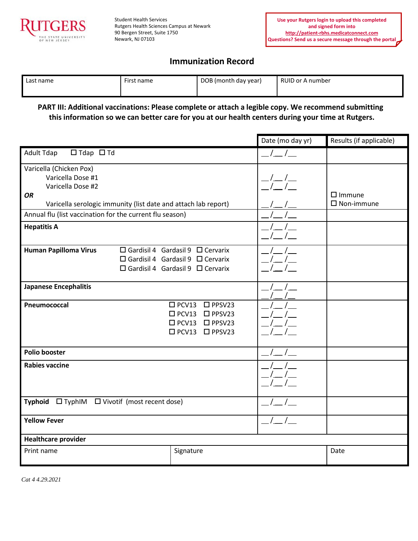

Student Health Services Rutgers Health Sciences Campus at Newark 90 Bergen Street, Suite 1750 Newark, NJ 07103

# **Immunization Record**

| Last name | First name | DOB (month day year) | RUID or A number |
|-----------|------------|----------------------|------------------|
|-----------|------------|----------------------|------------------|

## **PART III: Additional vaccinations: Please complete or attach a legible copy. We recommend submitting this information so we can better care for you at our health centers during your time at Rutgers.**

|                                                                   |  |                                              | Date (mo day yr) | Results (if applicable) |
|-------------------------------------------------------------------|--|----------------------------------------------|------------------|-------------------------|
| <b>Adult Tdap</b><br>$\Box$ Tdap $\Box$ Td                        |  |                                              |                  |                         |
| Varicella (Chicken Pox)                                           |  |                                              |                  |                         |
| Varicella Dose #1                                                 |  |                                              |                  |                         |
| Varicella Dose #2                                                 |  |                                              |                  |                         |
| <b>OR</b>                                                         |  |                                              |                  | $\Box$ Immune           |
| Varicella serologic immunity (list date and attach lab report)    |  |                                              |                  | $\square$ Non-immune    |
| Annual flu (list vaccination for the current flu season)          |  |                                              |                  |                         |
| <b>Hepatitis A</b>                                                |  |                                              |                  |                         |
|                                                                   |  | $\Box$ Gardisil 4 Gardasil 9 $\Box$ Cervarix |                  |                         |
| <b>Human Papilloma Virus</b>                                      |  | $\Box$ Gardisil 4 Gardasil 9 $\Box$ Cervarix |                  |                         |
|                                                                   |  |                                              |                  |                         |
|                                                                   |  | $\Box$ Gardisil 4 Gardasil 9 $\Box$ Cervarix |                  |                         |
| <b>Japanese Encephalitis</b>                                      |  |                                              |                  |                         |
|                                                                   |  |                                              |                  |                         |
| Pneumococcal                                                      |  | $\square$ PCV13<br>$\square$ PPSV23          |                  |                         |
|                                                                   |  | $\square$ PCV13<br>$\square$ PPSV23          |                  |                         |
|                                                                   |  | □ PCV13 □ PPSV23                             |                  |                         |
|                                                                   |  | □ PCV13 □ PPSV23                             |                  |                         |
|                                                                   |  |                                              |                  |                         |
| <b>Polio booster</b>                                              |  |                                              |                  |                         |
| <b>Rabies vaccine</b>                                             |  |                                              |                  |                         |
|                                                                   |  |                                              |                  |                         |
|                                                                   |  |                                              |                  |                         |
|                                                                   |  |                                              |                  |                         |
| <b>Typhoid</b><br>$\Box$ TyphIM $\Box$ Vivotif (most recent dose) |  |                                              |                  |                         |
| <b>Yellow Fever</b>                                               |  |                                              |                  |                         |
|                                                                   |  |                                              |                  |                         |
| <b>Healthcare provider</b>                                        |  |                                              |                  |                         |
| Print name                                                        |  | Signature                                    |                  | Date                    |
|                                                                   |  |                                              |                  |                         |

*Cat 4 4.29.2021*